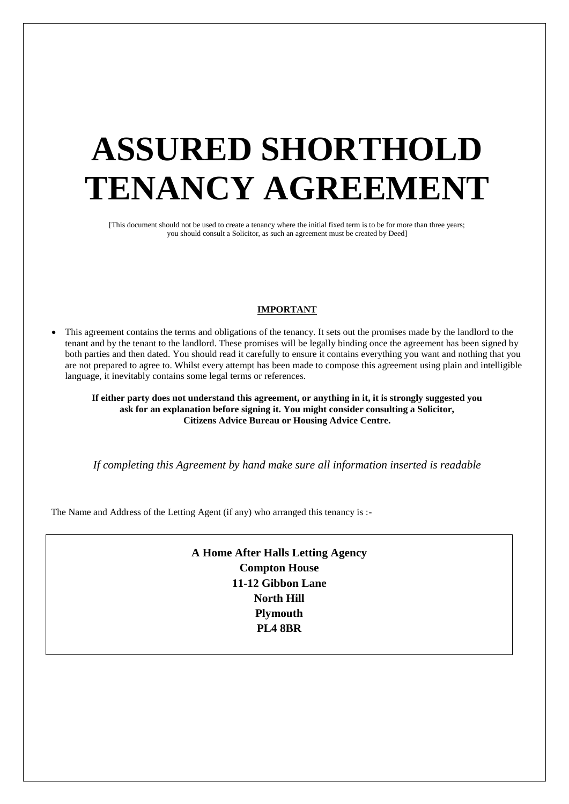# **ASSURED SHORTHOLD TENANCY AGREEMENT**

[This document should not be used to create a tenancy where the initial fixed term is to be for more than three years; you should consult a Solicitor, as such an agreement must be created by Deed]

## **IMPORTANT**

 This agreement contains the terms and obligations of the tenancy. It sets out the promises made by the landlord to the tenant and by the tenant to the landlord. These promises will be legally binding once the agreement has been signed by both parties and then dated. You should read it carefully to ensure it contains everything you want and nothing that you are not prepared to agree to. Whilst every attempt has been made to compose this agreement using plain and intelligible language, it inevitably contains some legal terms or references.

**If either party does not understand this agreement, or anything in it, it is strongly suggested you ask for an explanation before signing it. You might consider consulting a Solicitor, Citizens Advice Bureau or Housing Advice Centre.**

*If completing this Agreement by hand make sure all information inserted is readable*

The Name and Address of the Letting Agent (if any) who arranged this tenancy is :-

**A Home After Halls Letting Agency Compton House 11-12 Gibbon Lane North Hill Plymouth PL4 8BR**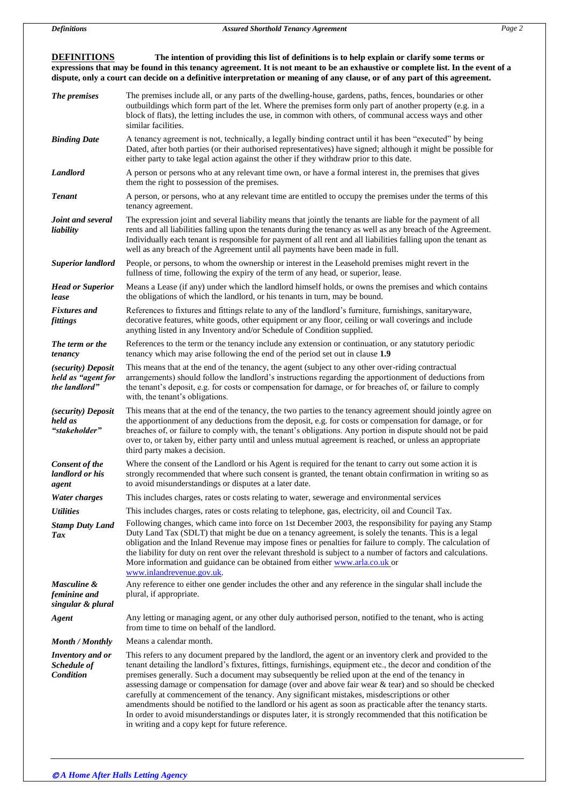**DEFINITIONS The intention of providing this list of definitions is to help explain or clarify some terms or expressions that may be found in this tenancy agreement. It is not meant to be an exhaustive or complete list. In the event of a dispute, only a court can decide on a definitive interpretation or meaning of any clause, or of any part of this agreement.**

| The premises                                              | The premises include all, or any parts of the dwelling-house, gardens, paths, fences, boundaries or other<br>outbuildings which form part of the let. Where the premises form only part of another property (e.g. in a<br>block of flats), the letting includes the use, in common with others, of communal access ways and other<br>similar facilities.                                                                                                                                                                                                                                                                                                                                                                                                                                                                     |  |  |
|-----------------------------------------------------------|------------------------------------------------------------------------------------------------------------------------------------------------------------------------------------------------------------------------------------------------------------------------------------------------------------------------------------------------------------------------------------------------------------------------------------------------------------------------------------------------------------------------------------------------------------------------------------------------------------------------------------------------------------------------------------------------------------------------------------------------------------------------------------------------------------------------------|--|--|
| <b>Binding Date</b>                                       | A tenancy agreement is not, technically, a legally binding contract until it has been "executed" by being<br>Dated, after both parties (or their authorised representatives) have signed; although it might be possible for<br>either party to take legal action against the other if they withdraw prior to this date.                                                                                                                                                                                                                                                                                                                                                                                                                                                                                                      |  |  |
| <b>Landlord</b>                                           | A person or persons who at any relevant time own, or have a formal interest in, the premises that gives<br>them the right to possession of the premises.                                                                                                                                                                                                                                                                                                                                                                                                                                                                                                                                                                                                                                                                     |  |  |
| <b>Tenant</b>                                             | A person, or persons, who at any relevant time are entitled to occupy the premises under the terms of this<br>tenancy agreement.                                                                                                                                                                                                                                                                                                                                                                                                                                                                                                                                                                                                                                                                                             |  |  |
| Joint and several<br>liability                            | The expression joint and several liability means that jointly the tenants are liable for the payment of all<br>rents and all liabilities falling upon the tenants during the tenancy as well as any breach of the Agreement.<br>Individually each tenant is responsible for payment of all rent and all liabilities falling upon the tenant as<br>well as any breach of the Agreement until all payments have been made in full.                                                                                                                                                                                                                                                                                                                                                                                             |  |  |
| <b>Superior landlord</b>                                  | People, or persons, to whom the ownership or interest in the Leasehold premises might revert in the<br>fullness of time, following the expiry of the term of any head, or superior, lease.                                                                                                                                                                                                                                                                                                                                                                                                                                                                                                                                                                                                                                   |  |  |
| <b>Head or Superior</b><br>lease                          | Means a Lease (if any) under which the landlord himself holds, or owns the premises and which contains<br>the obligations of which the landlord, or his tenants in turn, may be bound.                                                                                                                                                                                                                                                                                                                                                                                                                                                                                                                                                                                                                                       |  |  |
| <b>Fixtures</b> and<br>fittings                           | References to fixtures and fittings relate to any of the landlord's furniture, furnishings, sanitaryware,<br>decorative features, white goods, other equipment or any floor, ceiling or wall coverings and include<br>anything listed in any Inventory and/or Schedule of Condition supplied.                                                                                                                                                                                                                                                                                                                                                                                                                                                                                                                                |  |  |
| The term or the<br>tenancy                                | References to the term or the tenancy include any extension or continuation, or any statutory periodic<br>tenancy which may arise following the end of the period set out in clause 1.9                                                                                                                                                                                                                                                                                                                                                                                                                                                                                                                                                                                                                                      |  |  |
| (security) Deposit<br>held as "agent for<br>the landlord" | This means that at the end of the tenancy, the agent (subject to any other over-riding contractual<br>arrangements) should follow the landlord's instructions regarding the apportionment of deductions from<br>the tenant's deposit, e.g. for costs or compensation for damage, or for breaches of, or failure to comply<br>with, the tenant's obligations.                                                                                                                                                                                                                                                                                                                                                                                                                                                                 |  |  |
| (security) Deposit<br>held as<br>"stakeholder"            | This means that at the end of the tenancy, the two parties to the tenancy agreement should jointly agree on<br>the apportionment of any deductions from the deposit, e.g. for costs or compensation for damage, or for<br>breaches of, or failure to comply with, the tenant's obligations. Any portion in dispute should not be paid<br>over to, or taken by, either party until and unless mutual agreement is reached, or unless an appropriate<br>third party makes a decision.                                                                                                                                                                                                                                                                                                                                          |  |  |
| Consent of the<br>landlord or his<br>agent                | Where the consent of the Landlord or his Agent is required for the tenant to carry out some action it is<br>strongly recommended that where such consent is granted, the tenant obtain confirmation in writing so as<br>to avoid misunderstandings or disputes at a later date.                                                                                                                                                                                                                                                                                                                                                                                                                                                                                                                                              |  |  |
| <b>Water charges</b>                                      | This includes charges, rates or costs relating to water, sewerage and environmental services                                                                                                                                                                                                                                                                                                                                                                                                                                                                                                                                                                                                                                                                                                                                 |  |  |
| <i><b>Utilities</b></i>                                   | This includes charges, rates or costs relating to telephone, gas, electricity, oil and Council Tax.                                                                                                                                                                                                                                                                                                                                                                                                                                                                                                                                                                                                                                                                                                                          |  |  |
| <b>Stamp Duty Land</b><br>Tax                             | Following changes, which came into force on 1st December 2003, the responsibility for paying any Stamp<br>Duty Land Tax (SDLT) that might be due on a tenancy agreement, is solely the tenants. This is a legal<br>obligation and the Inland Revenue may impose fines or penalties for failure to comply. The calculation of<br>the liability for duty on rent over the relevant threshold is subject to a number of factors and calculations.<br>More information and guidance can be obtained from either www.arla.co.uk or<br>www.inlandrevenue.gov.uk.                                                                                                                                                                                                                                                                   |  |  |
| Masculine &<br>feminine and<br>singular & plural          | Any reference to either one gender includes the other and any reference in the singular shall include the<br>plural, if appropriate.                                                                                                                                                                                                                                                                                                                                                                                                                                                                                                                                                                                                                                                                                         |  |  |
| Agent                                                     | Any letting or managing agent, or any other duly authorised person, notified to the tenant, who is acting<br>from time to time on behalf of the landlord.                                                                                                                                                                                                                                                                                                                                                                                                                                                                                                                                                                                                                                                                    |  |  |
| Month / Monthly                                           | Means a calendar month.                                                                                                                                                                                                                                                                                                                                                                                                                                                                                                                                                                                                                                                                                                                                                                                                      |  |  |
| Inventory and or<br>Schedule of<br>Condition              | This refers to any document prepared by the landlord, the agent or an inventory clerk and provided to the<br>tenant detailing the landlord's fixtures, fittings, furnishings, equipment etc., the decor and condition of the<br>premises generally. Such a document may subsequently be relied upon at the end of the tenancy in<br>assessing damage or compensation for damage (over and above fair wear & tear) and so should be checked<br>carefully at commencement of the tenancy. Any significant mistakes, misdescriptions or other<br>amendments should be notified to the landlord or his agent as soon as practicable after the tenancy starts.<br>In order to avoid misunderstandings or disputes later, it is strongly recommended that this notification be<br>in writing and a copy kept for future reference. |  |  |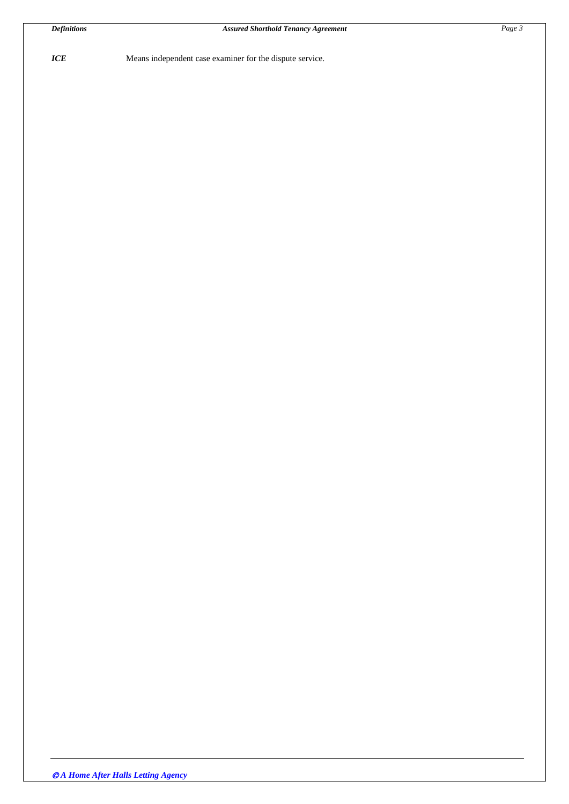*ICE* Means independent case examiner for the dispute service.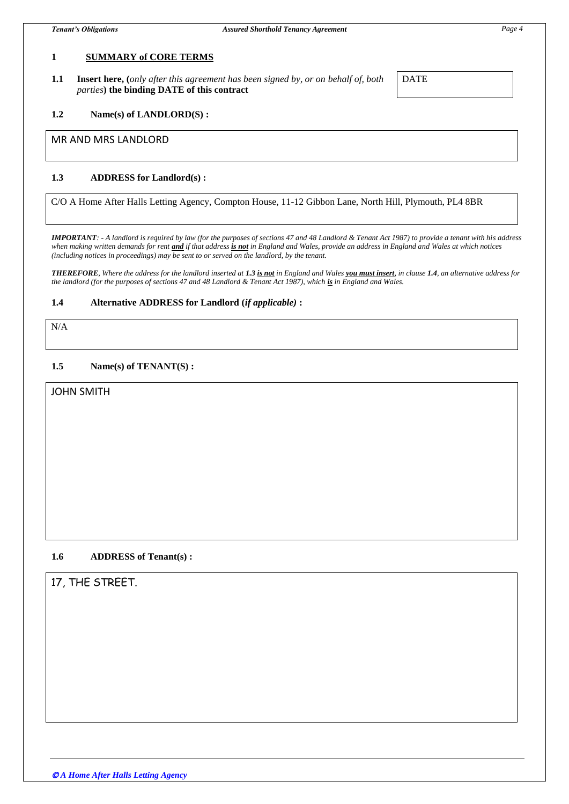## **1 SUMMARY of CORE TERMS**

**1.1 Insert here, (***only after this agreement has been signed by, or on behalf of, both parties***) the binding DATE of this contract**

DATE

#### **1.2 Name(s) of LANDLORD(S) :**

#### MR AND MRS LANDLORD

## **1.3 ADDRESS for Landlord(s) :**

C/O A Home After Halls Letting Agency, Compton House, 11-12 Gibbon Lane, North Hill, Plymouth, PL4 8BR

*IMPORTANT: - A landlord is required by law (for the purposes of sections 47 and 48 Landlord & Tenant Act 1987) to provide a tenant with his address when making written demands for rent and if that address is not in England and Wales, provide an address in England and Wales at which notices (including notices in proceedings) may be sent to or served on the landlord, by the tenant.*

*THEREFORE, Where the address for the landlord inserted at 1.3 is not in England and Wales you must insert, in clause 1.4, an alternative address for the landlord (for the purposes of sections 47 and 48 Landlord & Tenant Act 1987), which is in England and Wales.* 

#### **1.4 Alternative ADDRESS for Landlord (***if applicable)* **:**

# N/A

#### **1.5 Name(s) of TENANT(S) :**

# JOHN SMITH

#### **1.6 ADDRESS of Tenant(s) :**

# 17, THE STREET.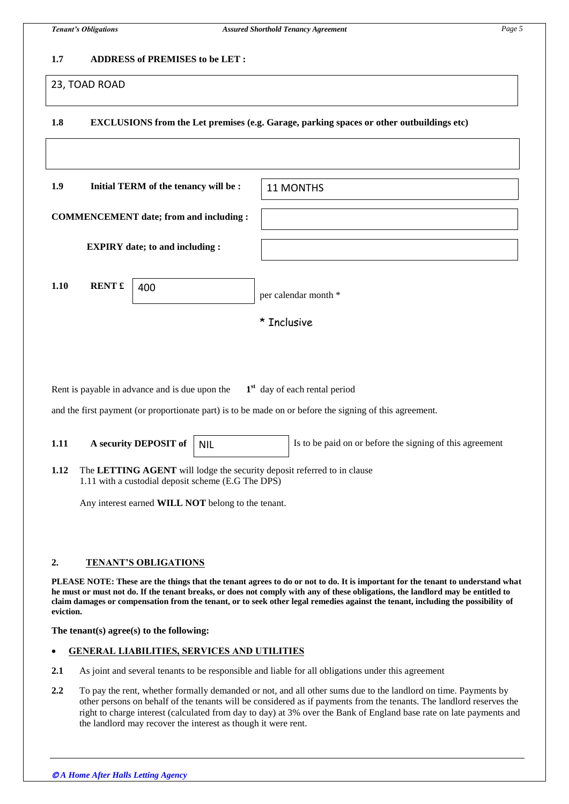## **1.7 ADDRESS of PREMISES to be LET :**

## 23, TOAD ROAD

# **1.8 EXCLUSIONS from the Let premises (e.g. Garage, parking spaces or other outbuildings etc)**

| 1.9<br>Initial TERM of the tenancy will be:    |               |     | 11 MONTHS            |
|------------------------------------------------|---------------|-----|----------------------|
| <b>COMMENCEMENT</b> date; from and including : |               |     |                      |
| <b>EXPIRY</b> date; to and including :         |               |     |                      |
| 1.10                                           | <b>RENT</b> £ | 400 | per calendar month * |
|                                                |               |     | * Inclusive          |
|                                                |               |     |                      |

Rent is payable in advance and is due upon the **1 st** day of each rental period

and the first payment (or proportionate part) is to be made on or before the signing of this agreement.

| 1.11 | A security DEPOSIT of   NIL | Is to be paid on or before the signing of this agreement |
|------|-----------------------------|----------------------------------------------------------|
|      |                             |                                                          |

**1.12** The **LETTING AGENT** will lodge the security deposit referred to in clause 1.11 with a custodial deposit scheme (E.G The DPS)

Any interest earned **WILL NOT** belong to the tenant.

## **2. TENANT'S OBLIGATIONS**

**PLEASE NOTE: These are the things that the tenant agrees to do or not to do. It is important for the tenant to understand what he must or must not do. If the tenant breaks, or does not comply with any of these obligations, the landlord may be entitled to claim damages or compensation from the tenant, or to seek other legal remedies against the tenant, including the possibility of eviction.**

**The tenant(s) agree(s) to the following:**

## **GENERAL LIABILITIES, SERVICES AND UTILITIES**

- **2.1** As joint and several tenants to be responsible and liable for all obligations under this agreement
- **2.2** To pay the rent, whether formally demanded or not, and all other sums due to the landlord on time. Payments by other persons on behalf of the tenants will be considered as if payments from the tenants. The landlord reserves the right to charge interest (calculated from day to day) at 3% over the Bank of England base rate on late payments and the landlord may recover the interest as though it were rent.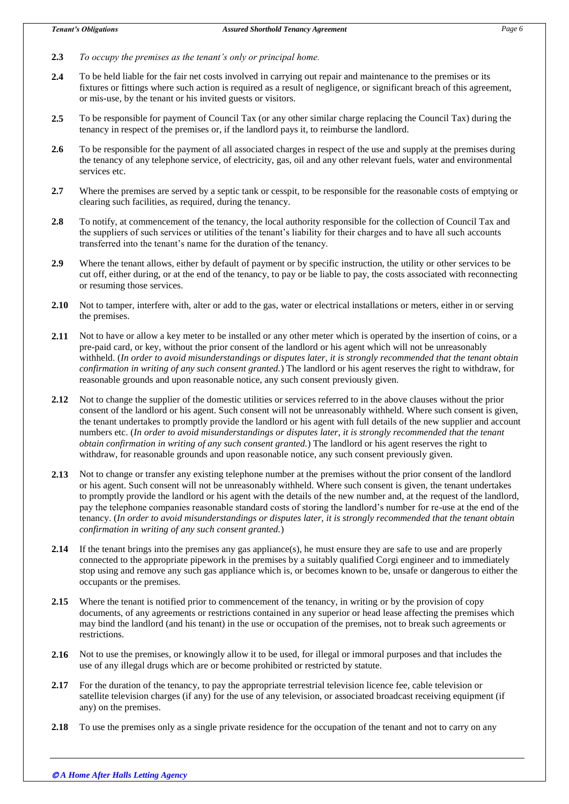- **2.3** *To occupy the premises as the tenant's only or principal home.*
- **2.4** To be held liable for the fair net costs involved in carrying out repair and maintenance to the premises or its fixtures or fittings where such action is required as a result of negligence, or significant breach of this agreement, or mis-use, by the tenant or his invited guests or visitors.
- **2.5** To be responsible for payment of Council Tax (or any other similar charge replacing the Council Tax) during the tenancy in respect of the premises or, if the landlord pays it, to reimburse the landlord.
- **2.6** To be responsible for the payment of all associated charges in respect of the use and supply at the premises during the tenancy of any telephone service, of electricity, gas, oil and any other relevant fuels, water and environmental services etc.
- **2.7** Where the premises are served by a septic tank or cesspit, to be responsible for the reasonable costs of emptying or clearing such facilities, as required, during the tenancy.
- **2.8** To notify, at commencement of the tenancy, the local authority responsible for the collection of Council Tax and the suppliers of such services or utilities of the tenant's liability for their charges and to have all such accounts transferred into the tenant's name for the duration of the tenancy.
- **2.9** Where the tenant allows, either by default of payment or by specific instruction, the utility or other services to be cut off, either during, or at the end of the tenancy, to pay or be liable to pay, the costs associated with reconnecting or resuming those services.
- **2.10** Not to tamper, interfere with, alter or add to the gas, water or electrical installations or meters, either in or serving the premises.
- **2.11** Not to have or allow a key meter to be installed or any other meter which is operated by the insertion of coins, or a pre-paid card, or key, without the prior consent of the landlord or his agent which will not be unreasonably withheld. (*In order to avoid misunderstandings or disputes later, it is strongly recommended that the tenant obtain confirmation in writing of any such consent granted.*) The landlord or his agent reserves the right to withdraw, for reasonable grounds and upon reasonable notice, any such consent previously given.
- **2.12** Not to change the supplier of the domestic utilities or services referred to in the above clauses without the prior consent of the landlord or his agent. Such consent will not be unreasonably withheld. Where such consent is given, the tenant undertakes to promptly provide the landlord or his agent with full details of the new supplier and account numbers etc. (*In order to avoid misunderstandings or disputes later, it is strongly recommended that the tenant obtain confirmation in writing of any such consent granted.*) The landlord or his agent reserves the right to withdraw, for reasonable grounds and upon reasonable notice, any such consent previously given.
- **2.13** Not to change or transfer any existing telephone number at the premises without the prior consent of the landlord or his agent. Such consent will not be unreasonably withheld. Where such consent is given, the tenant undertakes to promptly provide the landlord or his agent with the details of the new number and, at the request of the landlord, pay the telephone companies reasonable standard costs of storing the landlord's number for re-use at the end of the tenancy. (*In order to avoid misunderstandings or disputes later, it is strongly recommended that the tenant obtain confirmation in writing of any such consent granted.*)
- **2.14** If the tenant brings into the premises any gas appliance(s), he must ensure they are safe to use and are properly connected to the appropriate pipework in the premises by a suitably qualified Corgi engineer and to immediately stop using and remove any such gas appliance which is, or becomes known to be, unsafe or dangerous to either the occupants or the premises.
- **2.15** Where the tenant is notified prior to commencement of the tenancy, in writing or by the provision of copy documents, of any agreements or restrictions contained in any superior or head lease affecting the premises which may bind the landlord (and his tenant) in the use or occupation of the premises, not to break such agreements or restrictions.
- **2.16** Not to use the premises, or knowingly allow it to be used, for illegal or immoral purposes and that includes the use of any illegal drugs which are or become prohibited or restricted by statute.
- **2.17** For the duration of the tenancy, to pay the appropriate terrestrial television licence fee, cable television or satellite television charges (if any) for the use of any television, or associated broadcast receiving equipment (if any) on the premises.
- **2.18** To use the premises only as a single private residence for the occupation of the tenant and not to carry on any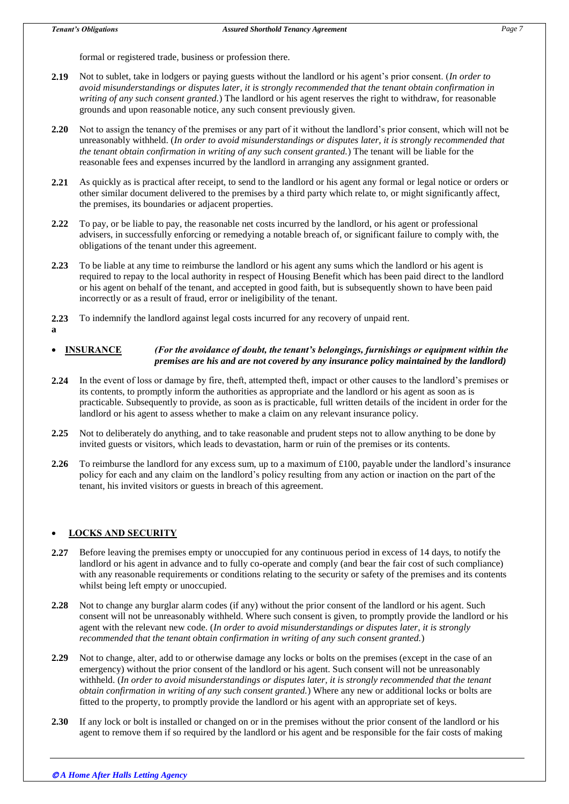formal or registered trade, business or profession there.

- **2.19** Not to sublet, take in lodgers or paying guests without the landlord or his agent's prior consent. (*In order to avoid misunderstandings or disputes later, it is strongly recommended that the tenant obtain confirmation in writing of any such consent granted.*) The landlord or his agent reserves the right to withdraw, for reasonable grounds and upon reasonable notice, any such consent previously given.
- **2.20** Not to assign the tenancy of the premises or any part of it without the landlord's prior consent, which will not be unreasonably withheld. (*In order to avoid misunderstandings or disputes later, it is strongly recommended that the tenant obtain confirmation in writing of any such consent granted.*) The tenant will be liable for the reasonable fees and expenses incurred by the landlord in arranging any assignment granted.
- **2.21** As quickly as is practical after receipt, to send to the landlord or his agent any formal or legal notice or orders or other similar document delivered to the premises by a third party which relate to, or might significantly affect, the premises, its boundaries or adjacent properties.
- **2.22** To pay, or be liable to pay, the reasonable net costs incurred by the landlord, or his agent or professional advisers, in successfully enforcing or remedying a notable breach of, or significant failure to comply with, the obligations of the tenant under this agreement.
- **2.23** To be liable at any time to reimburse the landlord or his agent any sums which the landlord or his agent is required to repay to the local authority in respect of Housing Benefit which has been paid direct to the landlord or his agent on behalf of the tenant, and accepted in good faith, but is subsequently shown to have been paid incorrectly or as a result of fraud, error or ineligibility of the tenant.
- **2.23** To indemnify the landlord against legal costs incurred for any recovery of unpaid rent.
- **a**

## **INSURANCE** *(For the avoidance of doubt, the tenant's belongings, furnishings or equipment within the premises are his and are not covered by any insurance policy maintained by the landlord)*

- **2.24** In the event of loss or damage by fire, theft, attempted theft, impact or other causes to the landlord's premises or its contents, to promptly inform the authorities as appropriate and the landlord or his agent as soon as is practicable. Subsequently to provide, as soon as is practicable, full written details of the incident in order for the landlord or his agent to assess whether to make a claim on any relevant insurance policy.
- **2.25** Not to deliberately do anything, and to take reasonable and prudent steps not to allow anything to be done by invited guests or visitors, which leads to devastation, harm or ruin of the premises or its contents.
- **2.26** To reimburse the landlord for any excess sum, up to a maximum of £100, payable under the landlord's insurance policy for each and any claim on the landlord's policy resulting from any action or inaction on the part of the tenant, his invited visitors or guests in breach of this agreement.

# **LOCKS AND SECURITY**

- **2.27** Before leaving the premises empty or unoccupied for any continuous period in excess of 14 days, to notify the landlord or his agent in advance and to fully co-operate and comply (and bear the fair cost of such compliance) with any reasonable requirements or conditions relating to the security or safety of the premises and its contents whilst being left empty or unoccupied.
- **2.28** Not to change any burglar alarm codes (if any) without the prior consent of the landlord or his agent. Such consent will not be unreasonably withheld. Where such consent is given, to promptly provide the landlord or his agent with the relevant new code. (*In order to avoid misunderstandings or disputes later, it is strongly recommended that the tenant obtain confirmation in writing of any such consent granted.*)
- **2.29** Not to change, alter, add to or otherwise damage any locks or bolts on the premises (except in the case of an emergency) without the prior consent of the landlord or his agent. Such consent will not be unreasonably withheld. (*In order to avoid misunderstandings or disputes later, it is strongly recommended that the tenant obtain confirmation in writing of any such consent granted.*) Where any new or additional locks or bolts are fitted to the property, to promptly provide the landlord or his agent with an appropriate set of keys.
- **2.30** If any lock or bolt is installed or changed on or in the premises without the prior consent of the landlord or his agent to remove them if so required by the landlord or his agent and be responsible for the fair costs of making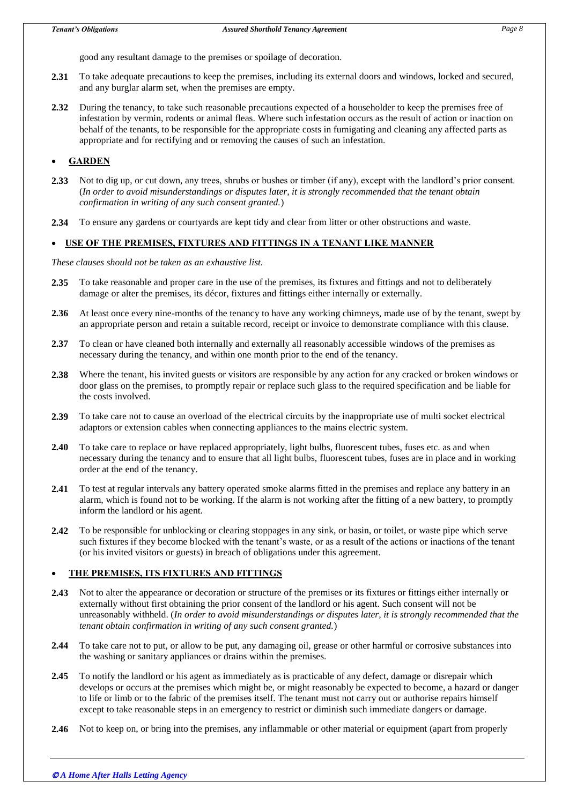good any resultant damage to the premises or spoilage of decoration.

- **2.31** To take adequate precautions to keep the premises, including its external doors and windows, locked and secured, and any burglar alarm set, when the premises are empty.
- **2.32** During the tenancy, to take such reasonable precautions expected of a householder to keep the premises free of infestation by vermin, rodents or animal fleas. Where such infestation occurs as the result of action or inaction on behalf of the tenants, to be responsible for the appropriate costs in fumigating and cleaning any affected parts as appropriate and for rectifying and or removing the causes of such an infestation.

# **GARDEN**

- **2.33** Not to dig up, or cut down, any trees, shrubs or bushes or timber (if any), except with the landlord's prior consent. (*In order to avoid misunderstandings or disputes later, it is strongly recommended that the tenant obtain confirmation in writing of any such consent granted.*)
- **2.34** To ensure any gardens or courtyards are kept tidy and clear from litter or other obstructions and waste.

## **USE OF THE PREMISES, FIXTURES AND FITTINGS IN A TENANT LIKE MANNER**

*These clauses should not be taken as an exhaustive list.*

- **2.35** To take reasonable and proper care in the use of the premises, its fixtures and fittings and not to deliberately damage or alter the premises, its décor, fixtures and fittings either internally or externally.
- **2.36** At least once every nine-months of the tenancy to have any working chimneys, made use of by the tenant, swept by an appropriate person and retain a suitable record, receipt or invoice to demonstrate compliance with this clause.
- **2.37** To clean or have cleaned both internally and externally all reasonably accessible windows of the premises as necessary during the tenancy, and within one month prior to the end of the tenancy.
- **2.38** Where the tenant, his invited guests or visitors are responsible by any action for any cracked or broken windows or door glass on the premises, to promptly repair or replace such glass to the required specification and be liable for the costs involved.
- **2.39** To take care not to cause an overload of the electrical circuits by the inappropriate use of multi socket electrical adaptors or extension cables when connecting appliances to the mains electric system.
- **2.40** To take care to replace or have replaced appropriately, light bulbs, fluorescent tubes, fuses etc. as and when necessary during the tenancy and to ensure that all light bulbs, fluorescent tubes, fuses are in place and in working order at the end of the tenancy.
- **2.41** To test at regular intervals any battery operated smoke alarms fitted in the premises and replace any battery in an alarm, which is found not to be working. If the alarm is not working after the fitting of a new battery, to promptly inform the landlord or his agent.
- **2.42** To be responsible for unblocking or clearing stoppages in any sink, or basin, or toilet, or waste pipe which serve such fixtures if they become blocked with the tenant's waste, or as a result of the actions or inactions of the tenant (or his invited visitors or guests) in breach of obligations under this agreement.

# **THE PREMISES, ITS FIXTURES AND FITTINGS**

- **2.43** Not to alter the appearance or decoration or structure of the premises or its fixtures or fittings either internally or externally without first obtaining the prior consent of the landlord or his agent. Such consent will not be unreasonably withheld. (*In order to avoid misunderstandings or disputes later, it is strongly recommended that the tenant obtain confirmation in writing of any such consent granted.*)
- **2.44** To take care not to put, or allow to be put, any damaging oil, grease or other harmful or corrosive substances into the washing or sanitary appliances or drains within the premises.
- **2.45** To notify the landlord or his agent as immediately as is practicable of any defect, damage or disrepair which develops or occurs at the premises which might be, or might reasonably be expected to become, a hazard or danger to life or limb or to the fabric of the premises itself. The tenant must not carry out or authorise repairs himself except to take reasonable steps in an emergency to restrict or diminish such immediate dangers or damage.
- **2.46** Not to keep on, or bring into the premises, any inflammable or other material or equipment (apart from properly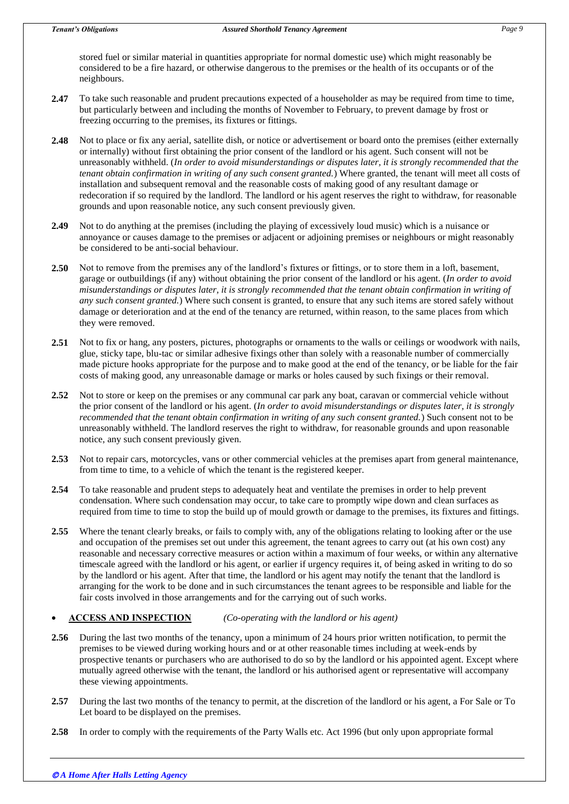stored fuel or similar material in quantities appropriate for normal domestic use) which might reasonably be considered to be a fire hazard, or otherwise dangerous to the premises or the health of its occupants or of the neighbours.

- **2.47** To take such reasonable and prudent precautions expected of a householder as may be required from time to time, but particularly between and including the months of November to February, to prevent damage by frost or freezing occurring to the premises, its fixtures or fittings.
- **2.48** Not to place or fix any aerial, satellite dish, or notice or advertisement or board onto the premises (either externally or internally) without first obtaining the prior consent of the landlord or his agent. Such consent will not be unreasonably withheld. (*In order to avoid misunderstandings or disputes later, it is strongly recommended that the tenant obtain confirmation in writing of any such consent granted.*) Where granted, the tenant will meet all costs of installation and subsequent removal and the reasonable costs of making good of any resultant damage or redecoration if so required by the landlord. The landlord or his agent reserves the right to withdraw, for reasonable grounds and upon reasonable notice, any such consent previously given.
- **2.49** Not to do anything at the premises (including the playing of excessively loud music) which is a nuisance or annoyance or causes damage to the premises or adjacent or adjoining premises or neighbours or might reasonably be considered to be anti-social behaviour.
- **2.50** Not to remove from the premises any of the landlord's fixtures or fittings, or to store them in a loft, basement, garage or outbuildings (if any) without obtaining the prior consent of the landlord or his agent. (*In order to avoid misunderstandings or disputes later, it is strongly recommended that the tenant obtain confirmation in writing of any such consent granted.*) Where such consent is granted, to ensure that any such items are stored safely without damage or deterioration and at the end of the tenancy are returned, within reason, to the same places from which they were removed.
- **2.51** Not to fix or hang, any posters, pictures, photographs or ornaments to the walls or ceilings or woodwork with nails, glue, sticky tape, blu-tac or similar adhesive fixings other than solely with a reasonable number of commercially made picture hooks appropriate for the purpose and to make good at the end of the tenancy, or be liable for the fair costs of making good, any unreasonable damage or marks or holes caused by such fixings or their removal.
- **2.52** Not to store or keep on the premises or any communal car park any boat, caravan or commercial vehicle without the prior consent of the landlord or his agent. (*In order to avoid misunderstandings or disputes later, it is strongly recommended that the tenant obtain confirmation in writing of any such consent granted.*) Such consent not to be unreasonably withheld. The landlord reserves the right to withdraw, for reasonable grounds and upon reasonable notice, any such consent previously given.
- **2.53** Not to repair cars, motorcycles, vans or other commercial vehicles at the premises apart from general maintenance, from time to time, to a vehicle of which the tenant is the registered keeper.
- **2.54** To take reasonable and prudent steps to adequately heat and ventilate the premises in order to help prevent condensation. Where such condensation may occur, to take care to promptly wipe down and clean surfaces as required from time to time to stop the build up of mould growth or damage to the premises, its fixtures and fittings.
- **2.55** Where the tenant clearly breaks, or fails to comply with, any of the obligations relating to looking after or the use and occupation of the premises set out under this agreement, the tenant agrees to carry out (at his own cost) any reasonable and necessary corrective measures or action within a maximum of four weeks, or within any alternative timescale agreed with the landlord or his agent, or earlier if urgency requires it, of being asked in writing to do so by the landlord or his agent. After that time, the landlord or his agent may notify the tenant that the landlord is arranging for the work to be done and in such circumstances the tenant agrees to be responsible and liable for the fair costs involved in those arrangements and for the carrying out of such works.

## **ACCESS AND INSPECTION** *(Co-operating with the landlord or his agent)*

- **2.56** During the last two months of the tenancy, upon a minimum of 24 hours prior written notification, to permit the premises to be viewed during working hours and or at other reasonable times including at week-ends by prospective tenants or purchasers who are authorised to do so by the landlord or his appointed agent. Except where mutually agreed otherwise with the tenant, the landlord or his authorised agent or representative will accompany these viewing appointments.
- **2.57** During the last two months of the tenancy to permit, at the discretion of the landlord or his agent, a For Sale or To Let board to be displayed on the premises.
- **2.58** In order to comply with the requirements of the Party Walls etc. Act 1996 (but only upon appropriate formal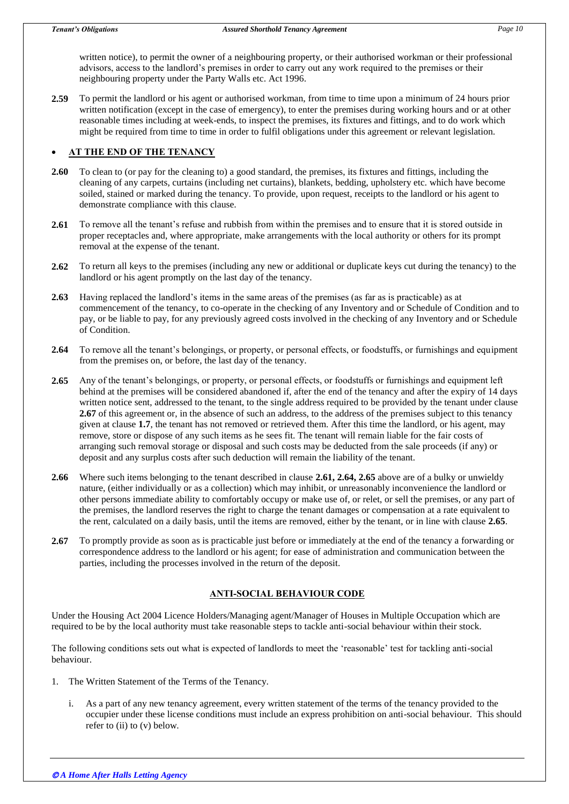written notice), to permit the owner of a neighbouring property, or their authorised workman or their professional advisors, access to the landlord's premises in order to carry out any work required to the premises or their neighbouring property under the Party Walls etc. Act 1996.

**2.59** To permit the landlord or his agent or authorised workman, from time to time upon a minimum of 24 hours prior written notification (except in the case of emergency), to enter the premises during working hours and or at other reasonable times including at week-ends, to inspect the premises, its fixtures and fittings, and to do work which might be required from time to time in order to fulfil obligations under this agreement or relevant legislation.

# **AT THE END OF THE TENANCY**

- **2.60** To clean to (or pay for the cleaning to) a good standard, the premises, its fixtures and fittings, including the cleaning of any carpets, curtains (including net curtains), blankets, bedding, upholstery etc. which have become soiled, stained or marked during the tenancy. To provide, upon request, receipts to the landlord or his agent to demonstrate compliance with this clause.
- **2.61** To remove all the tenant's refuse and rubbish from within the premises and to ensure that it is stored outside in proper receptacles and, where appropriate, make arrangements with the local authority or others for its prompt removal at the expense of the tenant.
- **2.62** To return all keys to the premises (including any new or additional or duplicate keys cut during the tenancy) to the landlord or his agent promptly on the last day of the tenancy.
- **2.63** Having replaced the landlord's items in the same areas of the premises (as far as is practicable) as at commencement of the tenancy, to co-operate in the checking of any Inventory and or Schedule of Condition and to pay, or be liable to pay, for any previously agreed costs involved in the checking of any Inventory and or Schedule of Condition.
- **2.64** To remove all the tenant's belongings, or property, or personal effects, or foodstuffs, or furnishings and equipment from the premises on, or before, the last day of the tenancy.
- **2.65** Any of the tenant's belongings, or property, or personal effects, or foodstuffs or furnishings and equipment left behind at the premises will be considered abandoned if, after the end of the tenancy and after the expiry of 14 days written notice sent, addressed to the tenant, to the single address required to be provided by the tenant under clause **2.67** of this agreement or, in the absence of such an address, to the address of the premises subject to this tenancy given at clause **1.7**, the tenant has not removed or retrieved them. After this time the landlord, or his agent, may remove, store or dispose of any such items as he sees fit. The tenant will remain liable for the fair costs of arranging such removal storage or disposal and such costs may be deducted from the sale proceeds (if any) or deposit and any surplus costs after such deduction will remain the liability of the tenant.
- **2.66** Where such items belonging to the tenant described in clause **2.61, 2.64, 2.65** above are of a bulky or unwieldy nature, (either individually or as a collection) which may inhibit, or unreasonably inconvenience the landlord or other persons immediate ability to comfortably occupy or make use of, or relet, or sell the premises, or any part of the premises, the landlord reserves the right to charge the tenant damages or compensation at a rate equivalent to the rent, calculated on a daily basis, until the items are removed, either by the tenant, or in line with clause **2.65**.
- **2.67** To promptly provide as soon as is practicable just before or immediately at the end of the tenancy a forwarding or correspondence address to the landlord or his agent; for ease of administration and communication between the parties, including the processes involved in the return of the deposit.

# **ANTI-SOCIAL BEHAVIOUR CODE**

Under the Housing Act 2004 Licence Holders/Managing agent/Manager of Houses in Multiple Occupation which are required to be by the local authority must take reasonable steps to tackle anti-social behaviour within their stock.

The following conditions sets out what is expected of landlords to meet the 'reasonable' test for tackling anti-social behaviour.

- 1. The Written Statement of the Terms of the Tenancy.
	- i. As a part of any new tenancy agreement, every written statement of the terms of the tenancy provided to the occupier under these license conditions must include an express prohibition on anti-social behaviour. This should refer to (ii) to (v) below.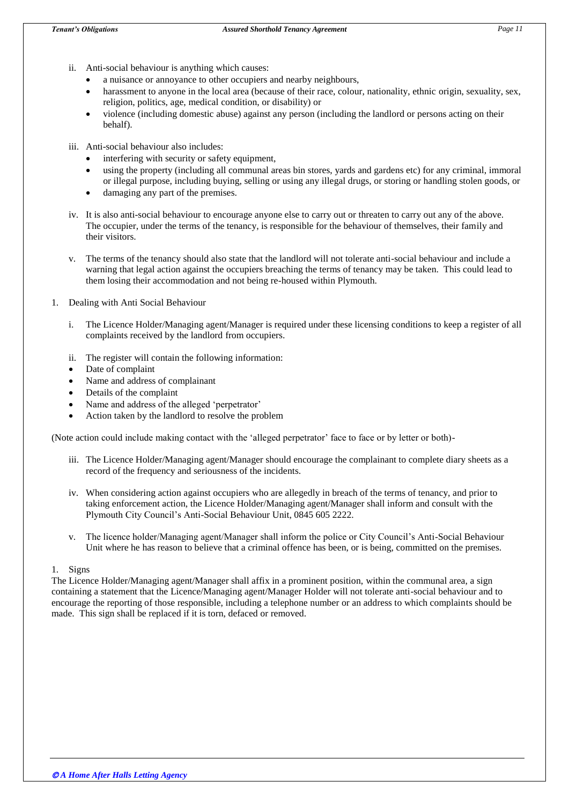- ii. Anti-social behaviour is anything which causes:
	- a nuisance or annoyance to other occupiers and nearby neighbours,
	- harassment to anyone in the local area (because of their race, colour, nationality, ethnic origin, sexuality, sex, religion, politics, age, medical condition, or disability) or
	- violence (including domestic abuse) against any person (including the landlord or persons acting on their behalf).
- iii. Anti-social behaviour also includes:
	- interfering with security or safety equipment,
	- using the property (including all communal areas bin stores, yards and gardens etc) for any criminal, immoral or illegal purpose, including buying, selling or using any illegal drugs, or storing or handling stolen goods, or
	- damaging any part of the premises.
- iv. It is also anti-social behaviour to encourage anyone else to carry out or threaten to carry out any of the above. The occupier, under the terms of the tenancy, is responsible for the behaviour of themselves, their family and their visitors.
- v. The terms of the tenancy should also state that the landlord will not tolerate anti-social behaviour and include a warning that legal action against the occupiers breaching the terms of tenancy may be taken. This could lead to them losing their accommodation and not being re-housed within Plymouth.
- 1. Dealing with Anti Social Behaviour
	- i. The Licence Holder/Managing agent/Manager is required under these licensing conditions to keep a register of all complaints received by the landlord from occupiers.
	- ii. The register will contain the following information:
	- Date of complaint
	- Name and address of complainant
	- Details of the complaint
	- Name and address of the alleged 'perpetrator'
	- Action taken by the landlord to resolve the problem

(Note action could include making contact with the 'alleged perpetrator' face to face or by letter or both)-

- iii. The Licence Holder/Managing agent/Manager should encourage the complainant to complete diary sheets as a record of the frequency and seriousness of the incidents.
- iv. When considering action against occupiers who are allegedly in breach of the terms of tenancy, and prior to taking enforcement action, the Licence Holder/Managing agent/Manager shall inform and consult with the Plymouth City Council's Anti-Social Behaviour Unit, 0845 605 2222.
- v. The licence holder/Managing agent/Manager shall inform the police or City Council's Anti-Social Behaviour Unit where he has reason to believe that a criminal offence has been, or is being, committed on the premises.

## 1. Signs

The Licence Holder/Managing agent/Manager shall affix in a prominent position, within the communal area, a sign containing a statement that the Licence/Managing agent/Manager Holder will not tolerate anti-social behaviour and to encourage the reporting of those responsible, including a telephone number or an address to which complaints should be made. This sign shall be replaced if it is torn, defaced or removed.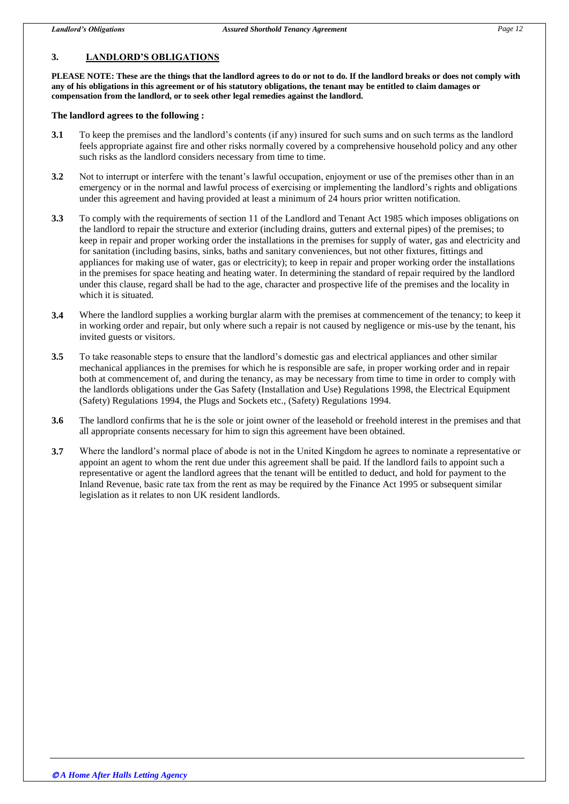# **3. LANDLORD'S OBLIGATIONS**

**PLEASE NOTE: These are the things that the landlord agrees to do or not to do. If the landlord breaks or does not comply with any of his obligations in this agreement or of his statutory obligations, the tenant may be entitled to claim damages or compensation from the landlord, or to seek other legal remedies against the landlord.**

## **The landlord agrees to the following :**

- **3.1** To keep the premises and the landlord's contents (if any) insured for such sums and on such terms as the landlord feels appropriate against fire and other risks normally covered by a comprehensive household policy and any other such risks as the landlord considers necessary from time to time.
- **3.2** Not to interrupt or interfere with the tenant's lawful occupation, enjoyment or use of the premises other than in an emergency or in the normal and lawful process of exercising or implementing the landlord's rights and obligations under this agreement and having provided at least a minimum of 24 hours prior written notification.
- **3.3** To comply with the requirements of section 11 of the Landlord and Tenant Act 1985 which imposes obligations on the landlord to repair the structure and exterior (including drains, gutters and external pipes) of the premises; to keep in repair and proper working order the installations in the premises for supply of water, gas and electricity and for sanitation (including basins, sinks, baths and sanitary conveniences, but not other fixtures, fittings and appliances for making use of water, gas or electricity); to keep in repair and proper working order the installations in the premises for space heating and heating water. In determining the standard of repair required by the landlord under this clause, regard shall be had to the age, character and prospective life of the premises and the locality in which it is situated.
- **3.4** Where the landlord supplies a working burglar alarm with the premises at commencement of the tenancy; to keep it in working order and repair, but only where such a repair is not caused by negligence or mis-use by the tenant, his invited guests or visitors.
- **3.5** To take reasonable steps to ensure that the landlord's domestic gas and electrical appliances and other similar mechanical appliances in the premises for which he is responsible are safe, in proper working order and in repair both at commencement of, and during the tenancy, as may be necessary from time to time in order to comply with the landlords obligations under the Gas Safety (Installation and Use) Regulations 1998, the Electrical Equipment (Safety) Regulations 1994, the Plugs and Sockets etc., (Safety) Regulations 1994.
- **3.6** The landlord confirms that he is the sole or joint owner of the leasehold or freehold interest in the premises and that all appropriate consents necessary for him to sign this agreement have been obtained.
- **3.7** Where the landlord's normal place of abode is not in the United Kingdom he agrees to nominate a representative or appoint an agent to whom the rent due under this agreement shall be paid. If the landlord fails to appoint such a representative or agent the landlord agrees that the tenant will be entitled to deduct, and hold for payment to the Inland Revenue, basic rate tax from the rent as may be required by the Finance Act 1995 or subsequent similar legislation as it relates to non UK resident landlords.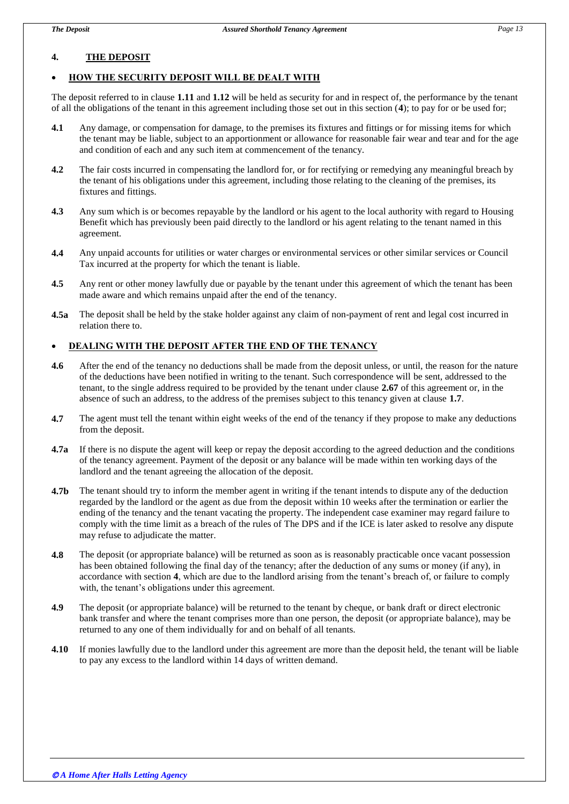# **4. THE DEPOSIT**

## **HOW THE SECURITY DEPOSIT WILL BE DEALT WITH**

The deposit referred to in clause **1.11** and **1.12** will be held as security for and in respect of, the performance by the tenant of all the obligations of the tenant in this agreement including those set out in this section (**4**); to pay for or be used for;

- **4.1** Any damage, or compensation for damage, to the premises its fixtures and fittings or for missing items for which the tenant may be liable, subject to an apportionment or allowance for reasonable fair wear and tear and for the age and condition of each and any such item at commencement of the tenancy.
- **4.2** The fair costs incurred in compensating the landlord for, or for rectifying or remedying any meaningful breach by the tenant of his obligations under this agreement, including those relating to the cleaning of the premises, its fixtures and fittings.
- **4.3** Any sum which is or becomes repayable by the landlord or his agent to the local authority with regard to Housing Benefit which has previously been paid directly to the landlord or his agent relating to the tenant named in this agreement.
- **4.4** Any unpaid accounts for utilities or water charges or environmental services or other similar services or Council Tax incurred at the property for which the tenant is liable.
- **4.5** Any rent or other money lawfully due or payable by the tenant under this agreement of which the tenant has been made aware and which remains unpaid after the end of the tenancy.
- **4.5a** The deposit shall be held by the stake holder against any claim of non-payment of rent and legal cost incurred in relation there to.

## **DEALING WITH THE DEPOSIT AFTER THE END OF THE TENANCY**

- **4.6** After the end of the tenancy no deductions shall be made from the deposit unless, or until, the reason for the nature of the deductions have been notified in writing to the tenant. Such correspondence will be sent, addressed to the tenant, to the single address required to be provided by the tenant under clause **2.67** of this agreement or, in the absence of such an address, to the address of the premises subject to this tenancy given at clause **1.7**.
- **4.7** The agent must tell the tenant within eight weeks of the end of the tenancy if they propose to make any deductions from the deposit.
- **4.7a** If there is no dispute the agent will keep or repay the deposit according to the agreed deduction and the conditions of the tenancy agreement. Payment of the deposit or any balance will be made within ten working days of the landlord and the tenant agreeing the allocation of the deposit.
- **4.7b** The tenant should try to inform the member agent in writing if the tenant intends to dispute any of the deduction regarded by the landlord or the agent as due from the deposit within 10 weeks after the termination or earlier the ending of the tenancy and the tenant vacating the property. The independent case examiner may regard failure to comply with the time limit as a breach of the rules of The DPS and if the ICE is later asked to resolve any dispute may refuse to adjudicate the matter.
- **4.8** The deposit (or appropriate balance) will be returned as soon as is reasonably practicable once vacant possession has been obtained following the final day of the tenancy; after the deduction of any sums or money (if any), in accordance with section **4**, which are due to the landlord arising from the tenant's breach of, or failure to comply with, the tenant's obligations under this agreement.
- **4.9** The deposit (or appropriate balance) will be returned to the tenant by cheque, or bank draft or direct electronic bank transfer and where the tenant comprises more than one person, the deposit (or appropriate balance), may be returned to any one of them individually for and on behalf of all tenants.
- **4.10** If monies lawfully due to the landlord under this agreement are more than the deposit held, the tenant will be liable to pay any excess to the landlord within 14 days of written demand.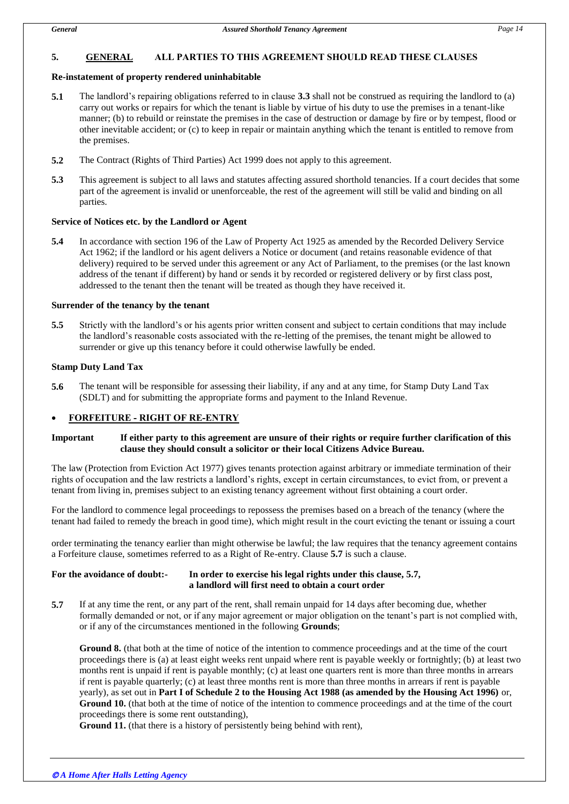# **5. GENERAL ALL PARTIES TO THIS AGREEMENT SHOULD READ THESE CLAUSES**

## **Re-instatement of property rendered uninhabitable**

- **5.1** The landlord's repairing obligations referred to in clause **3.3** shall not be construed as requiring the landlord to (a) carry out works or repairs for which the tenant is liable by virtue of his duty to use the premises in a tenant-like manner; (b) to rebuild or reinstate the premises in the case of destruction or damage by fire or by tempest, flood or other inevitable accident; or (c) to keep in repair or maintain anything which the tenant is entitled to remove from the premises.
- **5.2** The Contract (Rights of Third Parties) Act 1999 does not apply to this agreement.
- **5.3** This agreement is subject to all laws and statutes affecting assured shorthold tenancies. If a court decides that some part of the agreement is invalid or unenforceable, the rest of the agreement will still be valid and binding on all parties.

#### **Service of Notices etc. by the Landlord or Agent**

**5.4** In accordance with section 196 of the Law of Property Act 1925 as amended by the Recorded Delivery Service Act 1962; if the landlord or his agent delivers a Notice or document (and retains reasonable evidence of that delivery) required to be served under this agreement or any Act of Parliament, to the premises (or the last known address of the tenant if different) by hand or sends it by recorded or registered delivery or by first class post, addressed to the tenant then the tenant will be treated as though they have received it.

#### **Surrender of the tenancy by the tenant**

**5.5** Strictly with the landlord's or his agents prior written consent and subject to certain conditions that may include the landlord's reasonable costs associated with the re-letting of the premises, the tenant might be allowed to surrender or give up this tenancy before it could otherwise lawfully be ended.

#### **Stamp Duty Land Tax**

**5.6** The tenant will be responsible for assessing their liability, if any and at any time, for Stamp Duty Land Tax (SDLT) and for submitting the appropriate forms and payment to the Inland Revenue.

## **FORFEITURE - RIGHT OF RE-ENTRY**

## **Important If either party to this agreement are unsure of their rights or require further clarification of this clause they should consult a solicitor or their local Citizens Advice Bureau.**

The law (Protection from Eviction Act 1977) gives tenants protection against arbitrary or immediate termination of their rights of occupation and the law restricts a landlord's rights, except in certain circumstances, to evict from, or prevent a tenant from living in, premises subject to an existing tenancy agreement without first obtaining a court order.

For the landlord to commence legal proceedings to repossess the premises based on a breach of the tenancy (where the tenant had failed to remedy the breach in good time), which might result in the court evicting the tenant or issuing a court

order terminating the tenancy earlier than might otherwise be lawful; the law requires that the tenancy agreement contains a Forfeiture clause, sometimes referred to as a Right of Re-entry. Clause **5.7** is such a clause.

## **For the avoidance of doubt:- In order to exercise his legal rights under this clause, 5.7, a landlord will first need to obtain a court order**

**5.7** If at any time the rent, or any part of the rent, shall remain unpaid for 14 days after becoming due, whether formally demanded or not, or if any major agreement or major obligation on the tenant's part is not complied with, or if any of the circumstances mentioned in the following **Grounds**;

**Ground 8.** (that both at the time of notice of the intention to commence proceedings and at the time of the court proceedings there is (a) at least eight weeks rent unpaid where rent is payable weekly or fortnightly; (b) at least two months rent is unpaid if rent is payable monthly; (c) at least one quarters rent is more than three months in arrears if rent is payable quarterly; (c) at least three months rent is more than three months in arrears if rent is payable yearly), as set out in **Part I of Schedule 2 to the Housing Act 1988 (as amended by the Housing Act 1996)** or, **Ground 10.** (that both at the time of notice of the intention to commence proceedings and at the time of the court proceedings there is some rent outstanding),

**Ground 11.** (that there is a history of persistently being behind with rent),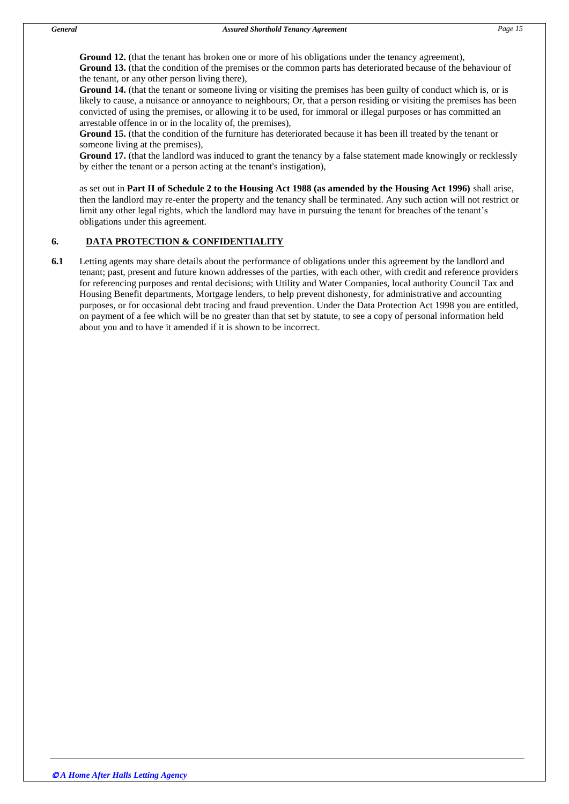**Ground 12.** (that the tenant has broken one or more of his obligations under the tenancy agreement), **Ground 13.** (that the condition of the premises or the common parts has deteriorated because of the behaviour of the tenant, or any other person living there),

**Ground 14.** (that the tenant or someone living or visiting the premises has been guilty of conduct which is, or is likely to cause, a nuisance or annoyance to neighbours; Or, that a person residing or visiting the premises has been convicted of using the premises, or allowing it to be used, for immoral or illegal purposes or has committed an arrestable offence in or in the locality of, the premises),

**Ground 15.** (that the condition of the furniture has deteriorated because it has been ill treated by the tenant or someone living at the premises),

**Ground 17.** (that the landlord was induced to grant the tenancy by a false statement made knowingly or recklessly by either the tenant or a person acting at the tenant's instigation),

as set out in **Part II of Schedule 2 to the Housing Act 1988 (as amended by the Housing Act 1996)** shall arise, then the landlord may re-enter the property and the tenancy shall be terminated. Any such action will not restrict or limit any other legal rights, which the landlord may have in pursuing the tenant for breaches of the tenant's obligations under this agreement.

# **6. DATA PROTECTION & CONFIDENTIALITY**

**6.1** Letting agents may share details about the performance of obligations under this agreement by the landlord and tenant; past, present and future known addresses of the parties, with each other, with credit and reference providers for referencing purposes and rental decisions; with Utility and Water Companies, local authority Council Tax and Housing Benefit departments, Mortgage lenders, to help prevent dishonesty, for administrative and accounting purposes, or for occasional debt tracing and fraud prevention. Under the Data Protection Act 1998 you are entitled, on payment of a fee which will be no greater than that set by statute, to see a copy of personal information held about you and to have it amended if it is shown to be incorrect.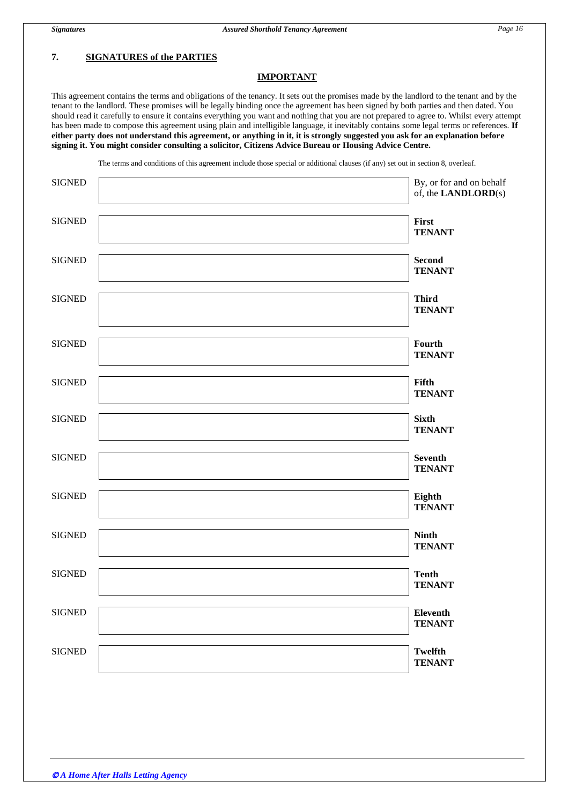# **7. SIGNATURES of the PARTIES**

#### **IMPORTANT**

This agreement contains the terms and obligations of the tenancy. It sets out the promises made by the landlord to the tenant and by the tenant to the landlord. These promises will be legally binding once the agreement has been signed by both parties and then dated. You should read it carefully to ensure it contains everything you want and nothing that you are not prepared to agree to. Whilst every attempt has been made to compose this agreement using plain and intelligible language, it inevitably contains some legal terms or references. **If either party does not understand this agreement, or anything in it, it is strongly suggested you ask for an explanation before signing it. You might consider consulting a solicitor, Citizens Advice Bureau or Housing Advice Centre.**

The terms and conditions of this agreement include those special or additional clauses (if any) set out in section 8, overleaf.

| <b>SIGNED</b> | By, or for and on behalf<br>of, the $\mathbf{LANDLORD}(s)$ |
|---------------|------------------------------------------------------------|
| <b>SIGNED</b> | First<br><b>TENANT</b>                                     |
| <b>SIGNED</b> | <b>Second</b><br><b>TENANT</b>                             |
| <b>SIGNED</b> | <b>Third</b><br><b>TENANT</b>                              |
| <b>SIGNED</b> | Fourth<br><b>TENANT</b>                                    |
| <b>SIGNED</b> | Fifth<br><b>TENANT</b>                                     |
| <b>SIGNED</b> | <b>Sixth</b><br><b>TENANT</b>                              |
| <b>SIGNED</b> | <b>Seventh</b><br><b>TENANT</b>                            |
| <b>SIGNED</b> | Eighth<br><b>TENANT</b>                                    |
| <b>SIGNED</b> | <b>Ninth</b><br><b>TENANT</b>                              |
| <b>SIGNED</b> | <b>Tenth</b><br><b>TENANT</b>                              |
| <b>SIGNED</b> | <b>Eleventh</b><br><b>TENANT</b>                           |
| <b>SIGNED</b> | <b>Twelfth</b><br><b>TENANT</b>                            |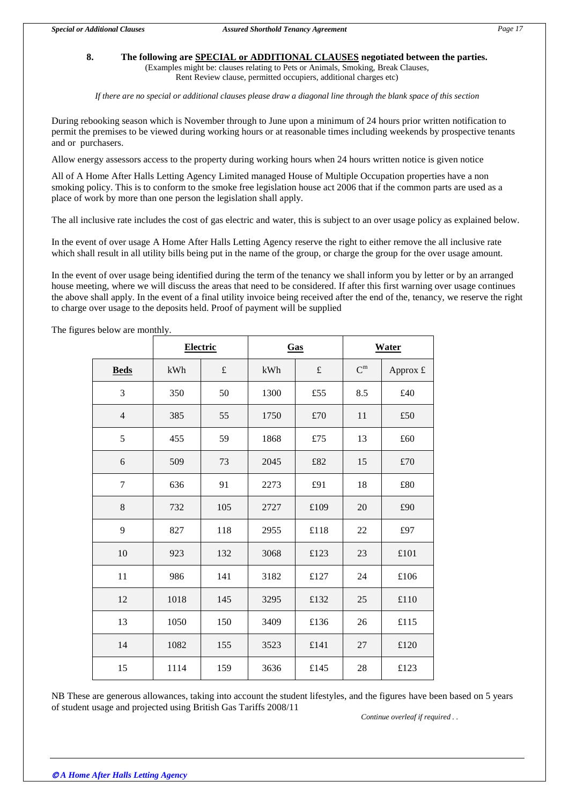#### **8. The following are SPECIAL or ADDITIONAL CLAUSES negotiated between the parties.**  (Examples might be: clauses relating to Pets or Animals, Smoking, Break Clauses,

Rent Review clause, permitted occupiers, additional charges etc)

*If there are no special or additional clauses please draw a diagonal line through the blank space of this section*

During rebooking season which is November through to June upon a minimum of 24 hours prior written notification to permit the premises to be viewed during working hours or at reasonable times including weekends by prospective tenants and or purchasers.

Allow energy assessors access to the property during working hours when 24 hours written notice is given notice

All of A Home After Halls Letting Agency Limited managed House of Multiple Occupation properties have a non smoking policy. This is to conform to the smoke free legislation house act 2006 that if the common parts are used as a place of work by more than one person the legislation shall apply.

The all inclusive rate includes the cost of gas electric and water, this is subject to an over usage policy as explained below.

In the event of over usage A Home After Halls Letting Agency reserve the right to either remove the all inclusive rate which shall result in all utility bills being put in the name of the group, or charge the group for the over usage amount.

In the event of over usage being identified during the term of the tenancy we shall inform you by letter or by an arranged house meeting, where we will discuss the areas that need to be considered. If after this first warning over usage continues the above shall apply. In the event of a final utility invoice being received after the end of the, tenancy, we reserve the right to charge over usage to the deposits held. Proof of payment will be supplied

|                | <b>Electric</b> |           | Gas  |           | <b>Water</b> |          |
|----------------|-----------------|-----------|------|-----------|--------------|----------|
| <b>Beds</b>    | kWh             | $\pounds$ | kWh  | $\pounds$ | $C^m$        | Approx £ |
| 3              | 350             | 50        | 1300 | £55       | 8.5          | £40      |
| $\overline{4}$ | 385             | 55        | 1750 | £70       | 11           | £50      |
| 5              | 455             | 59        | 1868 | £75       | 13           | £60      |
| 6              | 509             | 73        | 2045 | £82       | 15           | £70      |
| $\tau$         | 636             | 91        | 2273 | £91       | 18           | £80      |
| 8              | 732             | 105       | 2727 | £109      | 20           | £90      |
| 9              | 827             | 118       | 2955 | £118      | 22           | £97      |
| 10             | 923             | 132       | 3068 | £123      | 23           | £101     |
| 11             | 986             | 141       | 3182 | £127      | 24           | £106     |
| 12             | 1018            | 145       | 3295 | £132      | 25           | £110     |
| 13             | 1050            | 150       | 3409 | £136      | 26           | £115     |
| 14             | 1082            | 155       | 3523 | £141      | 27           | £120     |
| 15             | 1114            | 159       | 3636 | £145      | 28           | £123     |

The figures below are monthly.

NB These are generous allowances, taking into account the student lifestyles, and the figures have been based on 5 years of student usage and projected using British Gas Tariffs 2008/11

*Continue overleaf if required . .*